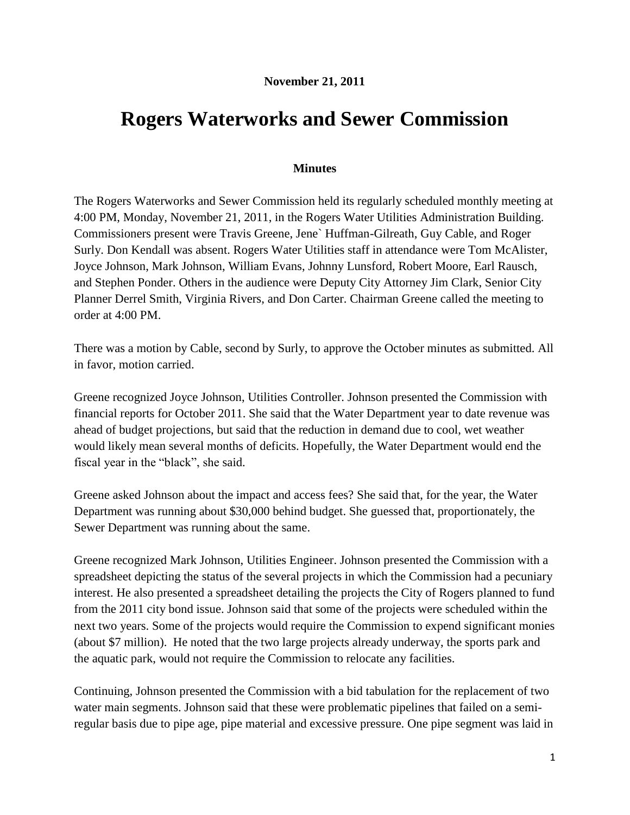## **November 21, 2011**

## **Rogers Waterworks and Sewer Commission**

## **Minutes**

The Rogers Waterworks and Sewer Commission held its regularly scheduled monthly meeting at 4:00 PM, Monday, November 21, 2011, in the Rogers Water Utilities Administration Building. Commissioners present were Travis Greene, Jene` Huffman-Gilreath, Guy Cable, and Roger Surly. Don Kendall was absent. Rogers Water Utilities staff in attendance were Tom McAlister, Joyce Johnson, Mark Johnson, William Evans, Johnny Lunsford, Robert Moore, Earl Rausch, and Stephen Ponder. Others in the audience were Deputy City Attorney Jim Clark, Senior City Planner Derrel Smith, Virginia Rivers, and Don Carter. Chairman Greene called the meeting to order at 4:00 PM.

There was a motion by Cable, second by Surly, to approve the October minutes as submitted. All in favor, motion carried.

Greene recognized Joyce Johnson, Utilities Controller. Johnson presented the Commission with financial reports for October 2011. She said that the Water Department year to date revenue was ahead of budget projections, but said that the reduction in demand due to cool, wet weather would likely mean several months of deficits. Hopefully, the Water Department would end the fiscal year in the "black", she said.

Greene asked Johnson about the impact and access fees? She said that, for the year, the Water Department was running about \$30,000 behind budget. She guessed that, proportionately, the Sewer Department was running about the same.

Greene recognized Mark Johnson, Utilities Engineer. Johnson presented the Commission with a spreadsheet depicting the status of the several projects in which the Commission had a pecuniary interest. He also presented a spreadsheet detailing the projects the City of Rogers planned to fund from the 2011 city bond issue. Johnson said that some of the projects were scheduled within the next two years. Some of the projects would require the Commission to expend significant monies (about \$7 million). He noted that the two large projects already underway, the sports park and the aquatic park, would not require the Commission to relocate any facilities.

Continuing, Johnson presented the Commission with a bid tabulation for the replacement of two water main segments. Johnson said that these were problematic pipelines that failed on a semiregular basis due to pipe age, pipe material and excessive pressure. One pipe segment was laid in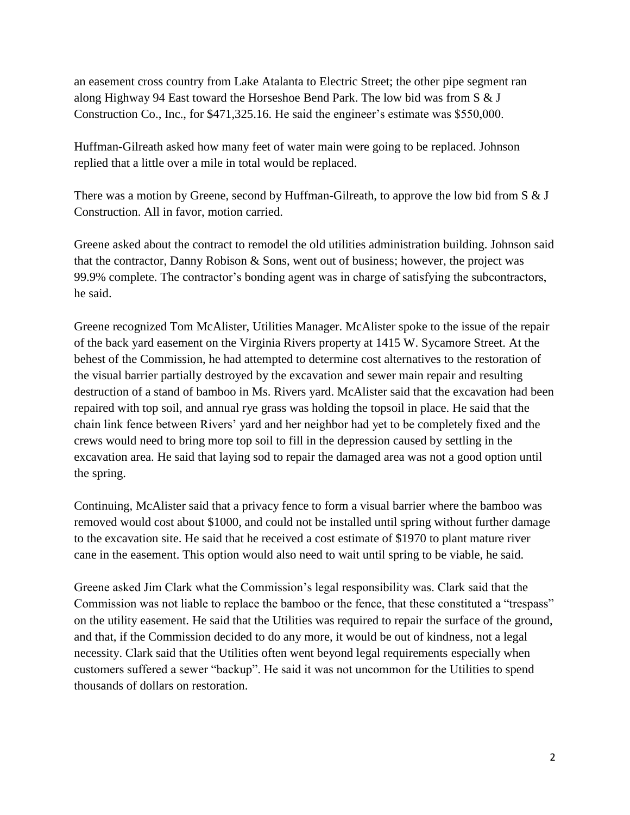an easement cross country from Lake Atalanta to Electric Street; the other pipe segment ran along Highway 94 East toward the Horseshoe Bend Park. The low bid was from S & J Construction Co., Inc., for \$471,325.16. He said the engineer's estimate was \$550,000.

Huffman-Gilreath asked how many feet of water main were going to be replaced. Johnson replied that a little over a mile in total would be replaced.

There was a motion by Greene, second by Huffman-Gilreath, to approve the low bid from S & J Construction. All in favor, motion carried.

Greene asked about the contract to remodel the old utilities administration building. Johnson said that the contractor, Danny Robison & Sons, went out of business; however, the project was 99.9% complete. The contractor's bonding agent was in charge of satisfying the subcontractors, he said.

Greene recognized Tom McAlister, Utilities Manager. McAlister spoke to the issue of the repair of the back yard easement on the Virginia Rivers property at 1415 W. Sycamore Street. At the behest of the Commission, he had attempted to determine cost alternatives to the restoration of the visual barrier partially destroyed by the excavation and sewer main repair and resulting destruction of a stand of bamboo in Ms. Rivers yard. McAlister said that the excavation had been repaired with top soil, and annual rye grass was holding the topsoil in place. He said that the chain link fence between Rivers' yard and her neighbor had yet to be completely fixed and the crews would need to bring more top soil to fill in the depression caused by settling in the excavation area. He said that laying sod to repair the damaged area was not a good option until the spring.

Continuing, McAlister said that a privacy fence to form a visual barrier where the bamboo was removed would cost about \$1000, and could not be installed until spring without further damage to the excavation site. He said that he received a cost estimate of \$1970 to plant mature river cane in the easement. This option would also need to wait until spring to be viable, he said.

Greene asked Jim Clark what the Commission's legal responsibility was. Clark said that the Commission was not liable to replace the bamboo or the fence, that these constituted a "trespass" on the utility easement. He said that the Utilities was required to repair the surface of the ground, and that, if the Commission decided to do any more, it would be out of kindness, not a legal necessity. Clark said that the Utilities often went beyond legal requirements especially when customers suffered a sewer "backup". He said it was not uncommon for the Utilities to spend thousands of dollars on restoration.